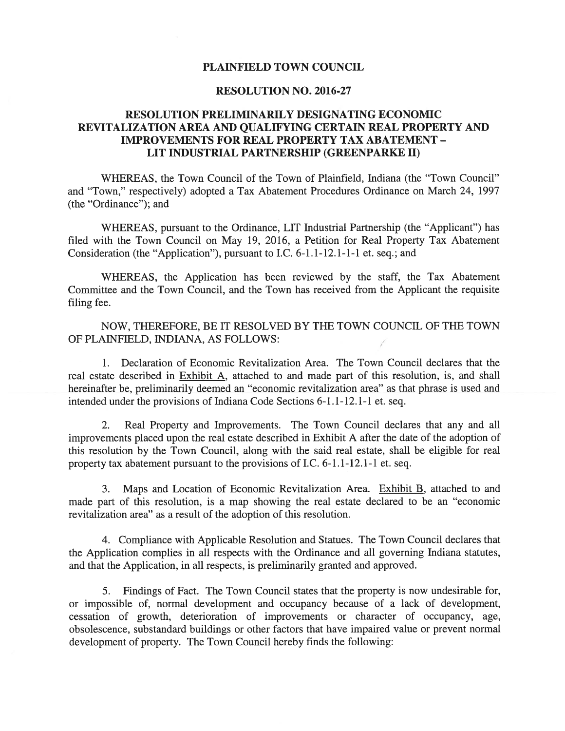## PLAINFIELD TOWN COUNCIL

## RESOLUTION NO. 2016-27

# RESOLUTION PRELIMINARILY DESIGNATING ECONOMIC REVITALIZATION AREA AND QUALIFYING CERTAIN REAL PROPERTY AND IMPROVEMENTS FOR REAL PROPERTY TAX ABATEMENT - LIT INDUSTRIAL PARTNERSHIP (GREENPARKE II)

WHEREAS, the Town Council of the Town of Plainfield, Indiana (the "Town Council" and "Town," respectively) adopted <sup>a</sup> Tax Abatement Procedures Ordinance on March 24, 1997 (the "Ordinance"); and

WHEREAS, pursuan<sup>t</sup> to the Ordinance, LIT Industrial Partnership (the "Applicant") has filed with the Town Council on May 19, 2016, <sup>a</sup> Petition for Real Property Tax Abatement Consideration (the "Application"), pursuan<sup>t</sup> to I.C. 6-1.1-12.1-1-1 et. seq.; and

WHEREAS, the Application has been reviewed by the staff, the Tax Abatement Committee and the Town Council, and the Town has received from the Applicant the requisite filing fee.

NOW, THEREFORE, BE IT RESOLVED BY THE TOWN COUNCIL OF THE TOWN OF PLANFIELD, NDIANA, AS FOLLOWS:

1. Declaration of Economic Revitalization Area. The Town Council declares that the real estate described in Exhibit A, attached to and made par<sup>t</sup> of this resolution, is, and shall hereinafter be, preliminarily deemed an "economic revitalization area" as that phrase is used and intended under the provisions of Indiana Code Sections 6-1.1-12.1-1 et. seq.

2. Real Property and Improvements. The Town Council declares that any and all improvements placed upon the real estate described in Exhibit A after the date of the adoption of this resolution by the Town Council, along with the said real estate, shall be eligible for real property tax abatement pursuan<sup>t</sup> to the provisions of I.C. 6-1.1-12.1-1 et. seq.

3. Maps and Location of Economic Revitalization Area. Exhibit B, attached to and made par<sup>t</sup> of this resolution, is <sup>a</sup> map showing the real estate declared to be an "economic revitalization area" as <sup>a</sup> result of the adoption of this resolution.

4. Compliance with Applicable Resolution and Statues. The Town Council declares that the Application complies in all respects with the Ordinance and all governing Indiana statutes, and that the Application, in all respects, is preliminarily granted and approved.

5. Findings of Fact. The Town Council states that the property is now undesirable for, or impossible of, normal development and occupancy because of <sup>a</sup> lack of development, cessation of growth, deterioration of improvements or character of occupancy, age, obsolescence, substandard buildings or other factors that have impaired value or preven<sup>t</sup> normal development of property. The Town Council hereby finds the following: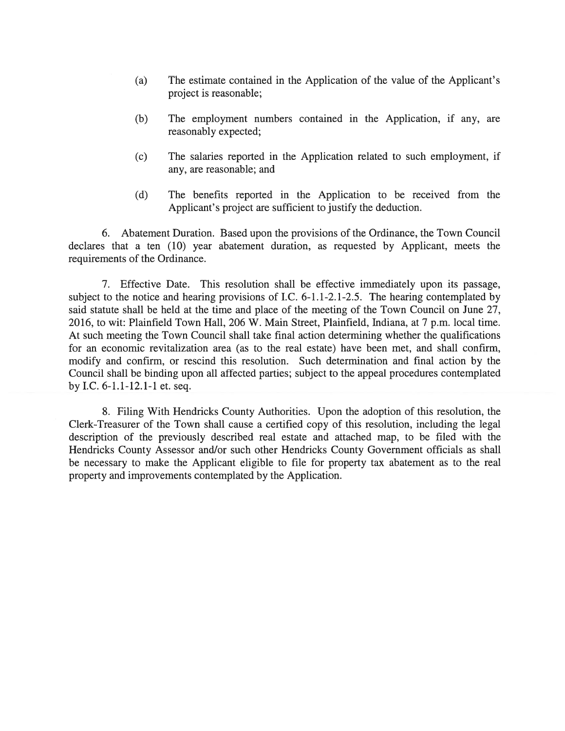- (a) The estimate contained in the Application of the value of the Applicant's project is reasonable;
- (b) The employment numbers contained in the Application, if any, are reasonably expected;
- (c) The salaries reported in the Application related to such employment, if any, are reasonable; and
- (d) The benefits reported in the Application to be received from the Applicant's project are sufficient to justify the deduction.

6. Abatement Duration. Based upon the provisions of the Ordinance, the Town Council declares that <sup>a</sup> ten (10) year abatement duration, as requested by Applicant, meets the requirements of the Ordinance.

7. Effective Date. This resolution shall be effective immediately upon its passage, subject to the notice and hearing provisions of I.C. 6-1.1-2.1-2.5. The hearing contemplated by said statute shall be held at the time and place of the meeting of the Town Council on June 27, 2016, to wit: Plainfield Town Hall, 206 W. Main Street, Plainfield, Indiana, at 7 p.m. local time. At such meeting the Town Council shall take final action determining whether the qualifications for an economic revitalization area (as to the real estate) have been met, and shall confirm, modify and confirm, or rescind this resolution. Such determination and final action by the Council shall be binding upon all affected parties; subject to the appeal procedures contemplated by I.C. 6-1.1-12.1-1 et. seq.

8. Filing With Hendricks County Authorities. Upon the adoption of this resolution, the Clerk-Treasurer of the Town shall cause <sup>a</sup> certified copy of this resolution, including the legal description of the previously described real estate and attached map, to be filed with the Hendricks County Assessor and/or such other Hendricks County Government officials as shall be necessary to make the Applicant eligible to file for property tax abatement as to the real property and improvements contemplated by the Application.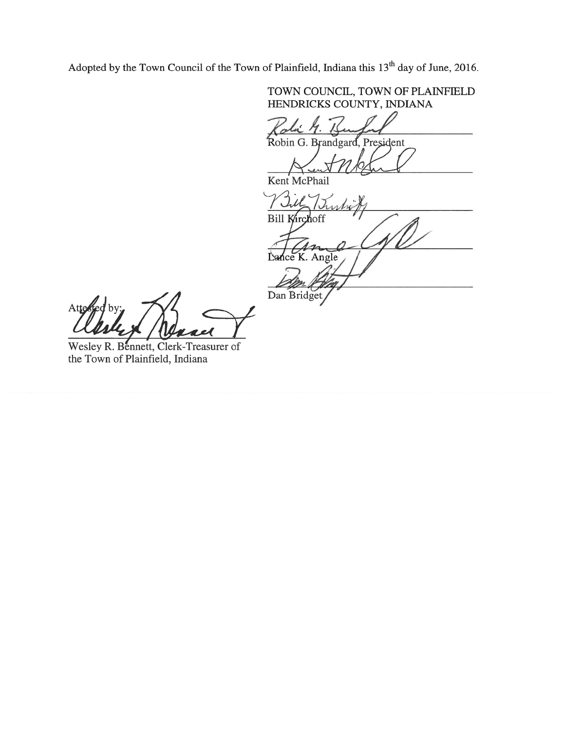Adopted by the Town Council of the Town of Plainfield, Indiana this 13<sup>th</sup> day of June, 2016.

Dan Bridget/

TOWN COUNCIL, TOWN OF PLAINFIELD HENDRICKS COUNTY, INDIANA 7. Robin G. Brandgard, President Kent McPhail Jill In Bill Kirchoff Lance K. Angle  $\overline{)}$ m CRA,

Atte

Wesley R. Bennett, Clerk-Treasurer of the Town of Plainfield, Indiana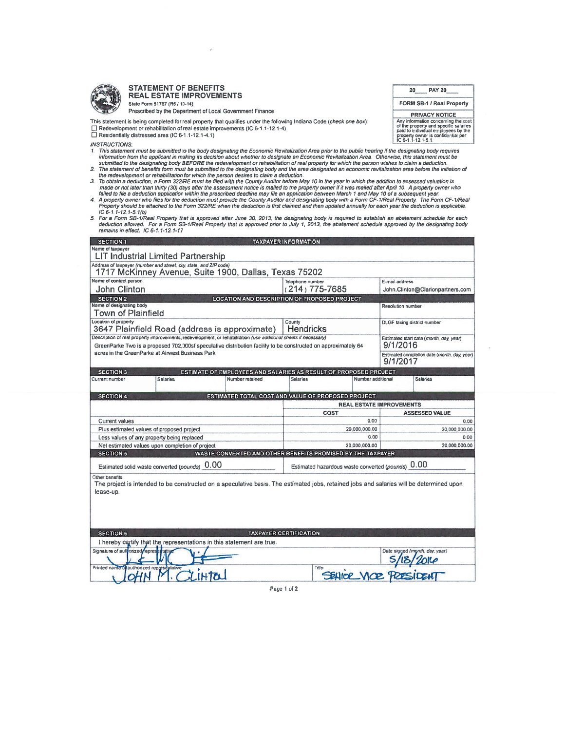

#### STATEMENT OF BENEFITS REAL ESTATE IMPROVEMENTS State Form 51767 (R6 / 10-14)

- 
- 
- IC 6-1 1-12 7-5.7(b)
- 5. For a Form SB-1/Real Property that is approved after June 30, 2013, the designating body is required to establish an abatement schedule for each<br>deduction allowed. For a Form SB-1/Real Property that is approved prior to

|                                                                                                                                                                                                                                                                                                                                                                                                                                                                                                                                                                                                                                                                                                                                                                                                                                                                                                                                                                                                                                                                                                                                                                                                                                                                                                                                                                                                                                                                                                                                                                                                                                                                                                                                                                                                                                                                                           |                                                                                           | <b>STATEMENT OF BENEFITS</b>                                                                                                                                                                                                                                      |                 |                                                                                     |                                 | 20                | <b>PAY 20</b>                                                                                                                                                                      |  |  |
|-------------------------------------------------------------------------------------------------------------------------------------------------------------------------------------------------------------------------------------------------------------------------------------------------------------------------------------------------------------------------------------------------------------------------------------------------------------------------------------------------------------------------------------------------------------------------------------------------------------------------------------------------------------------------------------------------------------------------------------------------------------------------------------------------------------------------------------------------------------------------------------------------------------------------------------------------------------------------------------------------------------------------------------------------------------------------------------------------------------------------------------------------------------------------------------------------------------------------------------------------------------------------------------------------------------------------------------------------------------------------------------------------------------------------------------------------------------------------------------------------------------------------------------------------------------------------------------------------------------------------------------------------------------------------------------------------------------------------------------------------------------------------------------------------------------------------------------------------------------------------------------------|-------------------------------------------------------------------------------------------|-------------------------------------------------------------------------------------------------------------------------------------------------------------------------------------------------------------------------------------------------------------------|-----------------|-------------------------------------------------------------------------------------|---------------------------------|-------------------|------------------------------------------------------------------------------------------------------------------------------------------------------------------------------------|--|--|
| <b>REAL ESTATE IMPROVEMENTS</b>                                                                                                                                                                                                                                                                                                                                                                                                                                                                                                                                                                                                                                                                                                                                                                                                                                                                                                                                                                                                                                                                                                                                                                                                                                                                                                                                                                                                                                                                                                                                                                                                                                                                                                                                                                                                                                                           |                                                                                           |                                                                                                                                                                                                                                                                   |                 |                                                                                     |                                 |                   | FORM SB-1 / Real Property                                                                                                                                                          |  |  |
|                                                                                                                                                                                                                                                                                                                                                                                                                                                                                                                                                                                                                                                                                                                                                                                                                                                                                                                                                                                                                                                                                                                                                                                                                                                                                                                                                                                                                                                                                                                                                                                                                                                                                                                                                                                                                                                                                           | State Form 51767 (R6 / 10-14)<br>Prescribed by the Department of Local Government Finance |                                                                                                                                                                                                                                                                   |                 |                                                                                     |                                 |                   | <b>PRIVACY NOTICE</b>                                                                                                                                                              |  |  |
|                                                                                                                                                                                                                                                                                                                                                                                                                                                                                                                                                                                                                                                                                                                                                                                                                                                                                                                                                                                                                                                                                                                                                                                                                                                                                                                                                                                                                                                                                                                                                                                                                                                                                                                                                                                                                                                                                           |                                                                                           | This statement is being completed for real property that qualifies under the following Indiana Code (check one box):<br>Redevelopment or rehabilitation of real estate improvements (IC 6-1.1-12.1-4)<br>$\Box$ Residentially distressed area (IC 6-1.1-12.1-4.1) |                 |                                                                                     |                                 |                   | Any information concerning the cost<br>of the property and specific salaries<br>paid to individual employees by the<br>property owner is confidential per<br>IC 6-1, 1-12, 1-5, 1. |  |  |
| <b>INSTRUCTIONS.</b><br>1. This statement must be submitted to the body designating the Economic Revitalization Area prior to the public hearing if the designating body requires<br>information from the applicant in making its decision about whether to designate an Economic Revitalization Area. Otherwise, this statement must be<br>submitted to the designating body BEFORE the redevelopment or rehabilitation of real property for which the person wishes to claim a deduction.<br>2. The statement of benefits form must be submitted to the designating body and the area designated an economic revitalization area before the initiation of<br>the redevelopment or rehabilitation for which the person desires to claim a deduction.<br>3. To obtain a deduction, a Form 322/RE must be filed with the County Auditor before May 10 in the year in which the addition to assessed valuation is<br>made or not later than thirty (30) days after the assessment notice is mailed to the property owner if it was mailed after April 10. A property owner who<br>failed to file a deduction application within the prescribed deadline may file an application between March 1 and May 10 of a subsequent year.<br>4. A property owner who files for the deduction must provide the County Auditor and designating body with a Form CF-1/Real Property. The Form CF-1/Real<br>Property should be attached to the Form 322/RE when the deduction is first claimed and then updated annually for each year the deduction is applicable.<br>$IC 6-1.1-12.1-5.1(b)$<br>5. For a Form SB-1/Real Property that is approved after June 30, 2013, the designating body is required to establish an abatement schedule for each<br>deduction allowed. For a Form SB-1/Real Property that is approved prior to July 1, 2013, the abatement schedule approved by the designating body |                                                                                           |                                                                                                                                                                                                                                                                   |                 |                                                                                     |                                 |                   |                                                                                                                                                                                    |  |  |
| <b>SECTION 1</b>                                                                                                                                                                                                                                                                                                                                                                                                                                                                                                                                                                                                                                                                                                                                                                                                                                                                                                                                                                                                                                                                                                                                                                                                                                                                                                                                                                                                                                                                                                                                                                                                                                                                                                                                                                                                                                                                          |                                                                                           | remains in effect. IC 6-1.1-12.1-17                                                                                                                                                                                                                               |                 | <b>TAXPAYER INFORMATION</b>                                                         |                                 |                   |                                                                                                                                                                                    |  |  |
| Name of taxpayer                                                                                                                                                                                                                                                                                                                                                                                                                                                                                                                                                                                                                                                                                                                                                                                                                                                                                                                                                                                                                                                                                                                                                                                                                                                                                                                                                                                                                                                                                                                                                                                                                                                                                                                                                                                                                                                                          |                                                                                           | <b>LIT Industrial Limited Partnership</b>                                                                                                                                                                                                                         |                 |                                                                                     |                                 |                   |                                                                                                                                                                                    |  |  |
|                                                                                                                                                                                                                                                                                                                                                                                                                                                                                                                                                                                                                                                                                                                                                                                                                                                                                                                                                                                                                                                                                                                                                                                                                                                                                                                                                                                                                                                                                                                                                                                                                                                                                                                                                                                                                                                                                           |                                                                                           | Address of laxpayer (number and street, city, state, and ZIP code)                                                                                                                                                                                                |                 |                                                                                     |                                 |                   |                                                                                                                                                                                    |  |  |
| Name of contact person                                                                                                                                                                                                                                                                                                                                                                                                                                                                                                                                                                                                                                                                                                                                                                                                                                                                                                                                                                                                                                                                                                                                                                                                                                                                                                                                                                                                                                                                                                                                                                                                                                                                                                                                                                                                                                                                    |                                                                                           | 1717 McKinney Avenue, Suite 1900, Dallas, Texas 75202                                                                                                                                                                                                             |                 | Telephone number                                                                    |                                 | E-mail address    |                                                                                                                                                                                    |  |  |
| <b>John Clinton</b>                                                                                                                                                                                                                                                                                                                                                                                                                                                                                                                                                                                                                                                                                                                                                                                                                                                                                                                                                                                                                                                                                                                                                                                                                                                                                                                                                                                                                                                                                                                                                                                                                                                                                                                                                                                                                                                                       |                                                                                           |                                                                                                                                                                                                                                                                   |                 | (214) 775-7685                                                                      |                                 |                   | John.Clinton@Clarionpartners.com                                                                                                                                                   |  |  |
| <b>SECTION 2</b><br>LOCATION AND DESCRIPTION OF PROPOSED PROJECT<br>Name of designating body                                                                                                                                                                                                                                                                                                                                                                                                                                                                                                                                                                                                                                                                                                                                                                                                                                                                                                                                                                                                                                                                                                                                                                                                                                                                                                                                                                                                                                                                                                                                                                                                                                                                                                                                                                                              |                                                                                           |                                                                                                                                                                                                                                                                   |                 |                                                                                     |                                 |                   |                                                                                                                                                                                    |  |  |
|                                                                                                                                                                                                                                                                                                                                                                                                                                                                                                                                                                                                                                                                                                                                                                                                                                                                                                                                                                                                                                                                                                                                                                                                                                                                                                                                                                                                                                                                                                                                                                                                                                                                                                                                                                                                                                                                                           |                                                                                           |                                                                                                                                                                                                                                                                   |                 |                                                                                     |                                 | Resolution number |                                                                                                                                                                                    |  |  |
| <b>Town of Plainfield</b><br>Location of property                                                                                                                                                                                                                                                                                                                                                                                                                                                                                                                                                                                                                                                                                                                                                                                                                                                                                                                                                                                                                                                                                                                                                                                                                                                                                                                                                                                                                                                                                                                                                                                                                                                                                                                                                                                                                                         |                                                                                           |                                                                                                                                                                                                                                                                   |                 |                                                                                     |                                 |                   |                                                                                                                                                                                    |  |  |
|                                                                                                                                                                                                                                                                                                                                                                                                                                                                                                                                                                                                                                                                                                                                                                                                                                                                                                                                                                                                                                                                                                                                                                                                                                                                                                                                                                                                                                                                                                                                                                                                                                                                                                                                                                                                                                                                                           |                                                                                           | 3647 Plainfield Road (address is approximate)                                                                                                                                                                                                                     |                 | County<br>Hendricks                                                                 |                                 |                   | DLGF taxing district number                                                                                                                                                        |  |  |
|                                                                                                                                                                                                                                                                                                                                                                                                                                                                                                                                                                                                                                                                                                                                                                                                                                                                                                                                                                                                                                                                                                                                                                                                                                                                                                                                                                                                                                                                                                                                                                                                                                                                                                                                                                                                                                                                                           |                                                                                           | Description of real property improvements, redevelopment, or rehabilitation (use additional sheets if necessary)<br>GreenParke Two is a proposed 702,000sf speculative distribution facility to be constructed on approximately 64                                |                 |                                                                                     |                                 | 9/1/2016          | Estimated start date (month, day, year)                                                                                                                                            |  |  |
|                                                                                                                                                                                                                                                                                                                                                                                                                                                                                                                                                                                                                                                                                                                                                                                                                                                                                                                                                                                                                                                                                                                                                                                                                                                                                                                                                                                                                                                                                                                                                                                                                                                                                                                                                                                                                                                                                           |                                                                                           | acres in the GreenParke at Airwest Business Park                                                                                                                                                                                                                  |                 |                                                                                     |                                 | 9/1/2017          | Estimated completion date (month, day, year)                                                                                                                                       |  |  |
| <b>SECTION 3</b><br>Current number                                                                                                                                                                                                                                                                                                                                                                                                                                                                                                                                                                                                                                                                                                                                                                                                                                                                                                                                                                                                                                                                                                                                                                                                                                                                                                                                                                                                                                                                                                                                                                                                                                                                                                                                                                                                                                                        |                                                                                           | <b>Salaries</b>                                                                                                                                                                                                                                                   | Number retained | ESTIMATE OF EMPLOYEES AND SALARIES AS RESULT OF PROPOSED PROJECT<br><b>Salaries</b> | Number additional               |                   | <b>Salaries</b>                                                                                                                                                                    |  |  |
| <b>SECTION 4</b>                                                                                                                                                                                                                                                                                                                                                                                                                                                                                                                                                                                                                                                                                                                                                                                                                                                                                                                                                                                                                                                                                                                                                                                                                                                                                                                                                                                                                                                                                                                                                                                                                                                                                                                                                                                                                                                                          |                                                                                           |                                                                                                                                                                                                                                                                   |                 | ESTIMATED TOTAL COST AND VALUE OF PROPOSED PROJECT                                  |                                 |                   |                                                                                                                                                                                    |  |  |
|                                                                                                                                                                                                                                                                                                                                                                                                                                                                                                                                                                                                                                                                                                                                                                                                                                                                                                                                                                                                                                                                                                                                                                                                                                                                                                                                                                                                                                                                                                                                                                                                                                                                                                                                                                                                                                                                                           |                                                                                           |                                                                                                                                                                                                                                                                   |                 | <b>COST</b>                                                                         | <b>REAL ESTATE IMPROVEMENTS</b> |                   | <b>ASSESSED VALUE</b>                                                                                                                                                              |  |  |
| Current values                                                                                                                                                                                                                                                                                                                                                                                                                                                                                                                                                                                                                                                                                                                                                                                                                                                                                                                                                                                                                                                                                                                                                                                                                                                                                                                                                                                                                                                                                                                                                                                                                                                                                                                                                                                                                                                                            |                                                                                           | Plus estimated values of proposed project                                                                                                                                                                                                                         |                 |                                                                                     | 0.00<br>20.000.000.00           |                   | 0.00<br>20.000.000.00                                                                                                                                                              |  |  |
|                                                                                                                                                                                                                                                                                                                                                                                                                                                                                                                                                                                                                                                                                                                                                                                                                                                                                                                                                                                                                                                                                                                                                                                                                                                                                                                                                                                                                                                                                                                                                                                                                                                                                                                                                                                                                                                                                           |                                                                                           | Less values of any property being replaced                                                                                                                                                                                                                        |                 |                                                                                     | 0.00                            |                   | 0.00                                                                                                                                                                               |  |  |
| <b>SECTION 5</b>                                                                                                                                                                                                                                                                                                                                                                                                                                                                                                                                                                                                                                                                                                                                                                                                                                                                                                                                                                                                                                                                                                                                                                                                                                                                                                                                                                                                                                                                                                                                                                                                                                                                                                                                                                                                                                                                          |                                                                                           | Net estimated values upon completion of project                                                                                                                                                                                                                   |                 | WASTE CONVERTED AND OTHER BENEFITS PROMISED BY THE TAXPAYER                         | 20,000,000.00                   |                   | 20,000,000.00                                                                                                                                                                      |  |  |
|                                                                                                                                                                                                                                                                                                                                                                                                                                                                                                                                                                                                                                                                                                                                                                                                                                                                                                                                                                                                                                                                                                                                                                                                                                                                                                                                                                                                                                                                                                                                                                                                                                                                                                                                                                                                                                                                                           |                                                                                           | Estimated solid waste converted (pounds) 0.00                                                                                                                                                                                                                     |                 | Estimated hazardous waste converted (pounds) 0.00                                   |                                 |                   |                                                                                                                                                                                    |  |  |
| Other benefits<br>lease-up.                                                                                                                                                                                                                                                                                                                                                                                                                                                                                                                                                                                                                                                                                                                                                                                                                                                                                                                                                                                                                                                                                                                                                                                                                                                                                                                                                                                                                                                                                                                                                                                                                                                                                                                                                                                                                                                               |                                                                                           | The project is intended to be constructed on a speculative basis. The estimated jobs, retained jobs and salaries will be determined upon                                                                                                                          |                 |                                                                                     |                                 |                   |                                                                                                                                                                                    |  |  |
| <b>SECTION 6</b>                                                                                                                                                                                                                                                                                                                                                                                                                                                                                                                                                                                                                                                                                                                                                                                                                                                                                                                                                                                                                                                                                                                                                                                                                                                                                                                                                                                                                                                                                                                                                                                                                                                                                                                                                                                                                                                                          |                                                                                           |                                                                                                                                                                                                                                                                   |                 | <b>TAXPAYER CERTIFICATION</b>                                                       |                                 |                   |                                                                                                                                                                                    |  |  |
| Signature of authorized repres                                                                                                                                                                                                                                                                                                                                                                                                                                                                                                                                                                                                                                                                                                                                                                                                                                                                                                                                                                                                                                                                                                                                                                                                                                                                                                                                                                                                                                                                                                                                                                                                                                                                                                                                                                                                                                                            |                                                                                           | I hereby certify that the representations in this statement are true.                                                                                                                                                                                             |                 |                                                                                     |                                 |                   | Date signed (month, day, year)                                                                                                                                                     |  |  |
| Printed name                                                                                                                                                                                                                                                                                                                                                                                                                                                                                                                                                                                                                                                                                                                                                                                                                                                                                                                                                                                                                                                                                                                                                                                                                                                                                                                                                                                                                                                                                                                                                                                                                                                                                                                                                                                                                                                                              | authorized repres                                                                         | glative<br>LIHTO                                                                                                                                                                                                                                                  |                 | Title                                                                               | SEAKIOR MOR PRE                 |                   |                                                                                                                                                                                    |  |  |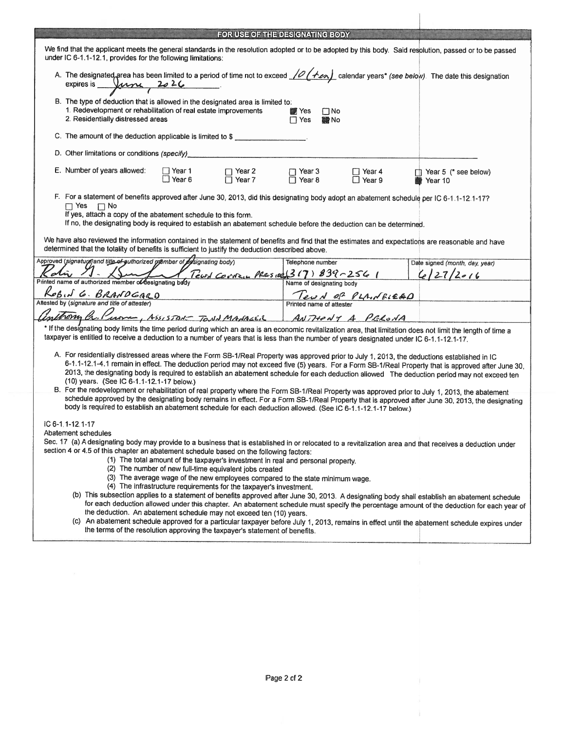|                                                                                                                                                                                                                                                                                                                                                                                                                                                                                                                                                                                                                                                                                                                                                                                                                                                                                                                                                                                                                                                                                                                                                                                                            |                                                                                                                                                                                                                         | FOR USE OF THE DESIGNATING BODY |                                   |  |                                 |  |  |  |  |
|------------------------------------------------------------------------------------------------------------------------------------------------------------------------------------------------------------------------------------------------------------------------------------------------------------------------------------------------------------------------------------------------------------------------------------------------------------------------------------------------------------------------------------------------------------------------------------------------------------------------------------------------------------------------------------------------------------------------------------------------------------------------------------------------------------------------------------------------------------------------------------------------------------------------------------------------------------------------------------------------------------------------------------------------------------------------------------------------------------------------------------------------------------------------------------------------------------|-------------------------------------------------------------------------------------------------------------------------------------------------------------------------------------------------------------------------|---------------------------------|-----------------------------------|--|---------------------------------|--|--|--|--|
|                                                                                                                                                                                                                                                                                                                                                                                                                                                                                                                                                                                                                                                                                                                                                                                                                                                                                                                                                                                                                                                                                                                                                                                                            | We find that the applicant meets the general standards in the resolution adopted or to be adopted by this body. Said resolution, passed or to be passed<br>under IC 6-1.1-12.1, provides for the following limitations: |                                 |                                   |  |                                 |  |  |  |  |
|                                                                                                                                                                                                                                                                                                                                                                                                                                                                                                                                                                                                                                                                                                                                                                                                                                                                                                                                                                                                                                                                                                                                                                                                            | A. The designated area has been limited to a period of time not to exceed 10 (121 calendar years* (see below). The date this designation<br>expires is $\mu$ 2026                                                       |                                 |                                   |  |                                 |  |  |  |  |
|                                                                                                                                                                                                                                                                                                                                                                                                                                                                                                                                                                                                                                                                                                                                                                                                                                                                                                                                                                                                                                                                                                                                                                                                            | B. The type of deduction that is allowed in the designated area is limited to:<br>1. Redevelopment or rehabilitation of real estate improvements<br>2. Residentially distressed areas                                   | <b>T</b> Yes<br>$\Box$ Yes      | $\square$ No<br><b>■No</b>        |  |                                 |  |  |  |  |
|                                                                                                                                                                                                                                                                                                                                                                                                                                                                                                                                                                                                                                                                                                                                                                                                                                                                                                                                                                                                                                                                                                                                                                                                            | C. The amount of the deduction applicable is limited to \$                                                                                                                                                              |                                 |                                   |  |                                 |  |  |  |  |
|                                                                                                                                                                                                                                                                                                                                                                                                                                                                                                                                                                                                                                                                                                                                                                                                                                                                                                                                                                                                                                                                                                                                                                                                            | D. Other limitations or conditions (specify)                                                                                                                                                                            |                                 |                                   |  |                                 |  |  |  |  |
|                                                                                                                                                                                                                                                                                                                                                                                                                                                                                                                                                                                                                                                                                                                                                                                                                                                                                                                                                                                                                                                                                                                                                                                                            | E. Number of years allowed:<br>$\Box$ Year 1<br>$\Box$ Year 2<br>$\Box$ Year 6<br>□ Year 7                                                                                                                              | $\Box$ Year 3<br>□ Year 8       | $\Box$ Year 4<br>$\Box$ Year 9    |  | Year 5 (* see below)<br>Year 10 |  |  |  |  |
| F. For a statement of benefits approved after June 30, 2013, did this designating body adopt an abatement schedule per IC 6-1.1-12.1-17?<br>$\Box$ Yes $\Box$ No<br>If yes, attach a copy of the abatement schedule to this form.<br>If no, the designating body is required to establish an abatement schedule before the deduction can be determined.<br>We have also reviewed the information contained in the statement of benefits and find that the estimates and expectations are reasonable and have<br>determined that the totality of benefits is sufficient to justify the deduction described above.                                                                                                                                                                                                                                                                                                                                                                                                                                                                                                                                                                                           |                                                                                                                                                                                                                         |                                 |                                   |  |                                 |  |  |  |  |
|                                                                                                                                                                                                                                                                                                                                                                                                                                                                                                                                                                                                                                                                                                                                                                                                                                                                                                                                                                                                                                                                                                                                                                                                            | Approved (signature) and title of guthorized member of designating body)                                                                                                                                                | Telephone number                |                                   |  | Date signed (month, day, year)  |  |  |  |  |
|                                                                                                                                                                                                                                                                                                                                                                                                                                                                                                                                                                                                                                                                                                                                                                                                                                                                                                                                                                                                                                                                                                                                                                                                            | Tearl Corner Pressed 317) 839-2561<br>Printed name of authorized member of designating body                                                                                                                             |                                 | Name of designating body          |  | 6/27/2016                       |  |  |  |  |
|                                                                                                                                                                                                                                                                                                                                                                                                                                                                                                                                                                                                                                                                                                                                                                                                                                                                                                                                                                                                                                                                                                                                                                                                            | $\n  KoB$ , $\overline{G}$ $\cdot$ $\overline{B}$ $\overline{R}$ $\overline{A}$ $\overline{D}$ $\overline{G}$ $\overline{A}$ $\overline{C}$ $\overline{D}$ $\overline{C}$ Attester $\overline{D}$                       |                                 | Teur 1 0 <sup>2</sup> PLA. NBLE&D |  |                                 |  |  |  |  |
|                                                                                                                                                                                                                                                                                                                                                                                                                                                                                                                                                                                                                                                                                                                                                                                                                                                                                                                                                                                                                                                                                                                                                                                                            |                                                                                                                                                                                                                         |                                 |                                   |  |                                 |  |  |  |  |
|                                                                                                                                                                                                                                                                                                                                                                                                                                                                                                                                                                                                                                                                                                                                                                                                                                                                                                                                                                                                                                                                                                                                                                                                            | Mongh C. Purne, ASSISTON TOND MADALER ANTHONY A PELONA                                                                                                                                                                  |                                 |                                   |  |                                 |  |  |  |  |
| * If the designating body limits the time period during which an area is an economic revitalization area, that limitation does not limit the length of time a<br>taxpayer is entitled to receive a deduction to a number of years that is less than the number of years designated under IC 6-1.1-12.1-17.                                                                                                                                                                                                                                                                                                                                                                                                                                                                                                                                                                                                                                                                                                                                                                                                                                                                                                 |                                                                                                                                                                                                                         |                                 |                                   |  |                                 |  |  |  |  |
| A. For residentially distressed areas where the Form SB-1/Real Property was approved prior to July 1, 2013, the deductions established in IC<br>6-1.1-12.1-4.1 remain in effect. The deduction period may not exceed five (5) years. For a Form SB-1/Real Property that is approved after June 30,<br>2013, the designating body is required to establish an abatement schedule for each deduction allowed The deduction period may not exceed ten<br>(10) years. (See IC 6-1.1-12.1-17 below.)<br>B. For the redevelopment or rehabilitation of real property where the Form SB-1/Real Property was approved prior to July 1, 2013, the abatement<br>schedule approved by the designating body remains in effect. For a Form SB-1/Real Property that is approved after June 30, 2013, the designating<br>body is required to establish an abatement schedule for each deduction allowed. (See IC 6-1.1-12.1-17 below.)                                                                                                                                                                                                                                                                                    |                                                                                                                                                                                                                         |                                 |                                   |  |                                 |  |  |  |  |
| IC 6-1.1-12.1-17<br>Abatement schedules<br>Sec. 17 (a) A designating body may provide to a business that is established in or relocated to a revitalization area and that receives a deduction under<br>section 4 or 4.5 of this chapter an abatement schedule based on the following factors:<br>(1) The total amount of the taxpayer's investment in real and personal property.<br>(2) The number of new full-time equivalent jobs created<br>(3) The average wage of the new employees compared to the state minimum wage.<br>(4) The infrastructure requirements for the taxpayer's investment.<br>(b) This subsection applies to a statement of benefits approved after June 30, 2013. A designating body shall establish an abatement schedule<br>for each deduction allowed under this chapter. An abatement schedule must specify the percentage amount of the deduction for each year of<br>the deduction. An abatement schedule may not exceed ten (10) years.<br>(c) An abatement schedule approved for a particular taxpayer before July 1, 2013, remains in effect until the abatement schedule expires under<br>the terms of the resolution approving the taxpayer's statement of benefits. |                                                                                                                                                                                                                         |                                 |                                   |  |                                 |  |  |  |  |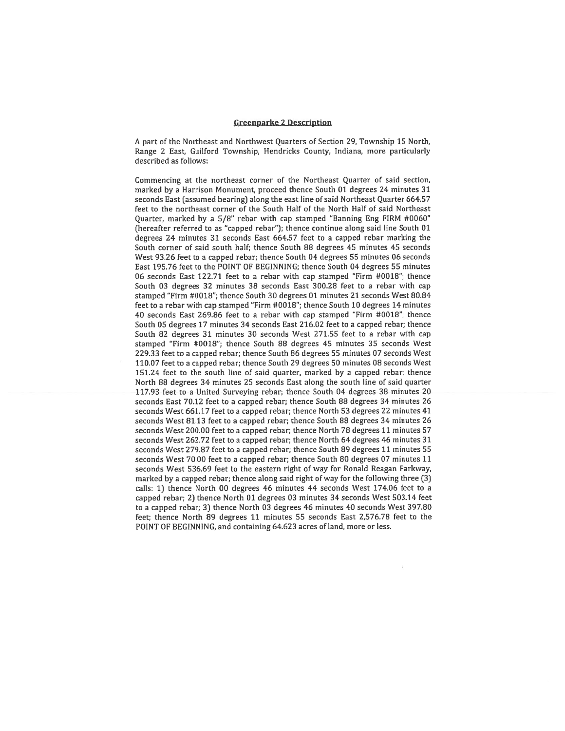### Greenparke 2 Description

<sup>A</sup> par<sup>t</sup> of the Northeast and Northwest Quarters of Section 29, Township 15 North, Range 2 East, Guilford Township, Hendricks County, Indiana, more particularly described as follows:

Commencing at the northeast corner of the Northeast Quarter of said section, marked by <sup>a</sup> Harrison Monument, proceed thence South 01 degrees <sup>24</sup> minutes 31 seconds East (assumed bearing) along the east line of said Northeast Quarter 664.57 feet to the northeast corner of the South Half of the North Half of said Northeast Quarter, marked by <sup>a</sup> 5/8" rebar with cap stamped "Banning Eng FIRM #0060" (hereafter referred to as "capped rehar"); thence continue along said line South 01 degrees 24 minutes 31 seconds East 664.57 feet to <sup>a</sup> capped rebar marking the South corner of said south half; thence South 88 degrees 45 minutes 45 seconds West 93.26 feet to <sup>a</sup> capped rebar; thence South 04 degrees 55 minutes 06 seconds East 195.76 feet to the POINT OF BEGINNING; thence South 04 degrees 55 minutes 06 seconds East 122.71 feet to <sup>a</sup> rebar with cap stamped "Firm #0018"; thence South 03 degrees 32 minutes 38 seconds East 300.28 feet to <sup>a</sup> rebar with cap stamped "Firm #00 18"; thence South 30 degrees 01 minutes 21 seconds West 80.84 feet to a rebar with cap stamped "Firm #0018"; thence South 10 degrees 14 minutes 40 seconds East 269.86 feet to <sup>a</sup> rebar with cap stamped "Firm #0018"; thence South 05 degrees 17 minutes 34 seconds East 216.02 feet to <sup>a</sup> capped rebar; thence South 82 degrees 31 minutes 30 seconds West 271.55 feet to <sup>a</sup> rebar with cap stamped "Firm #0018"; thence South 88 degrees 45 minutes 35 seconds West 229.33 feet to <sup>a</sup> capped rebar; thence South 86 degrees 55 minutes 07 seconds West 110.07 feet to <sup>a</sup> capped rehar; thence South 29 degrees 50 minutes 08 seconds West 151.24 feet to the south tine of said quarter, marked by <sup>a</sup> capped rebar; thence North 8\$ degrees 34 minutes 25 seconds East along the south line of said quarter 117.93 feet to <sup>a</sup> United Surveying rebar; thence South 04 degrees 38 minutes 20 seconds East 70.12 feet to <sup>a</sup> capped rebar; thence South 88 degrees 34 minutes 26 seconds West 661.17 feet to <sup>a</sup> capped rebar; thence North 53 degrees 22 minutes <sup>41</sup> seconds West 81.13 feet to <sup>a</sup> capped rebat; thence South 88 degrees 34 minutes 26 seconds West 200.00 feet to <sup>a</sup> capped rehar; thence North 78 degrees 11 minutes 57 seconds West 262.72 feet to <sup>a</sup> capped rebar; thence North 64 degrees 46 minutes 31 seconds West 279,87 feet to <sup>a</sup> capped rebar; thence South 89 degrees 11 minutes 55 seconds West 70,00 feet to <sup>a</sup> capped rebar; thence South 80 degrees 07 minutes 11 seconds West 536.69 feet to the eastern right of way for Ronald Reagan Parkway, marked by <sup>a</sup> capped rebar; thence along said right of way for the following three (3) calls: 1) thence North 00 degrees 46 minutes <sup>44</sup> seconds West 17406 feet to <sup>a</sup> capped rebar; 2) thence North 01 degrees 03 minutes 34 seconds West 503.14 feet to <sup>a</sup> capped rehar; 3) thence North 03 degrees 46 minutes 40 seconds West 397.80 feet; thence North 89 degrees 11 minutes 55 seconds East 2,576.78 feet to the POINT OF BEGINNING, and containing 64.623 acres of land, more or less.